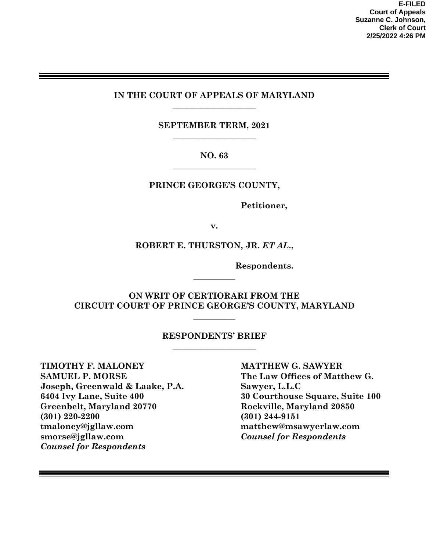### **IN THE COURT OF APPEALS OF MARYLAND \_\_\_\_\_\_\_\_\_\_\_\_\_\_\_\_\_\_\_\_**

**SEPTEMBER TERM, 2021 \_\_\_\_\_\_\_\_\_\_\_\_\_\_\_\_\_\_\_\_** 

### **NO. 63 \_\_\_\_\_\_\_\_\_\_\_\_\_\_\_\_\_\_\_\_**

### **PRINCE GEORGE'S COUNTY,**

**Petitioner,**

**v.** 

### **ROBERT E. THURSTON, JR.** *ET AL***.,**

**Respondents.** 

### **ON WRIT OF CERTIORARI FROM THE CIRCUIT COURT OF PRINCE GEORGE'S COUNTY, MARYLAND**

**\_\_\_\_\_\_\_\_\_\_** 

 $\overline{\phantom{a}}$ 

#### **RESPONDENTS' BRIEF \_\_\_\_\_\_\_\_\_\_\_\_\_\_\_\_\_\_\_\_**

**TIMOTHY F. MALONEY MATTHEW G. SAWYER SAMUEL P. MORSE** The Law Offices of Matthew G. **Joseph, Greenwald & Laake, P.A. Sawyer, L.L.C 6404 Ivy Lane, Suite 400 30 Courthouse Square, Suite 100 Greenbelt, Maryland 20770 Rockville, Maryland 20850 (301) 220-2200 (301) 244-9151 [tmaloney@jgllaw.com](mailto:tmaloney@jgllaw.com) [matthew@msawyerlaw.com](mailto:matthew@msawyerlaw.com) [smorse@jgllaw.com](mailto:smorse@jgllaw.com)** *Counsel for Respondents Counsel for Respondents*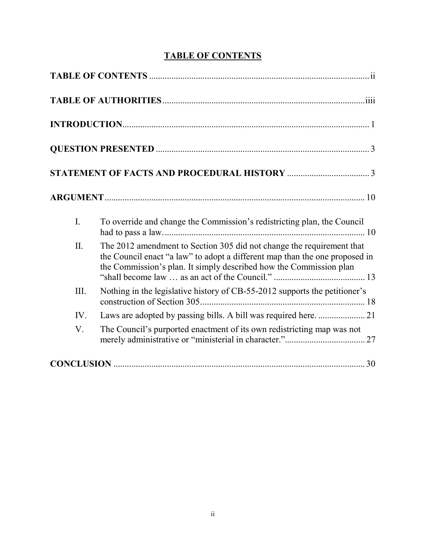# **TABLE OF CONTENTS**

<span id="page-1-0"></span>

| I.   | To override and change the Commission's redistricting plan, the Council                                                                                                                                                    |
|------|----------------------------------------------------------------------------------------------------------------------------------------------------------------------------------------------------------------------------|
| II.  | The 2012 amendment to Section 305 did not change the requirement that<br>the Council enact "a law" to adopt a different map than the one proposed in<br>the Commission's plan. It simply described how the Commission plan |
| III. | Nothing in the legislative history of CB-55-2012 supports the petitioner's                                                                                                                                                 |
| IV.  |                                                                                                                                                                                                                            |
| V.   | The Council's purported enactment of its own redistricting map was not                                                                                                                                                     |
|      |                                                                                                                                                                                                                            |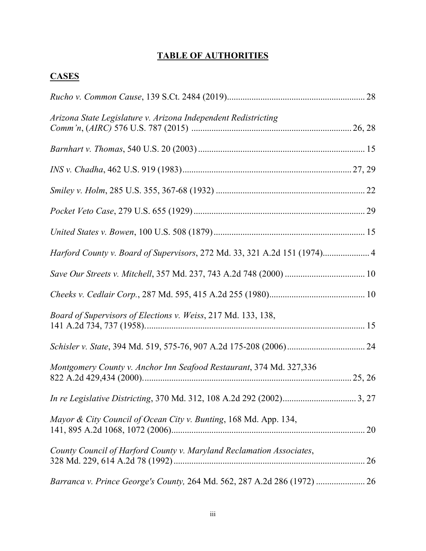# **TABLE OF AUTHORITIES**

<span id="page-2-0"></span>

| Arizona State Legislature v. Arizona Independent Redistricting            |
|---------------------------------------------------------------------------|
|                                                                           |
|                                                                           |
|                                                                           |
|                                                                           |
|                                                                           |
| Harford County v. Board of Supervisors, 272 Md. 33, 321 A.2d 151 (1974) 4 |
|                                                                           |
|                                                                           |
| Board of Supervisors of Elections v. Weiss, 217 Md. 133, 138,             |
|                                                                           |
| Montgomery County v. Anchor Inn Seafood Restaurant, 374 Md. 327,336       |
|                                                                           |
| Mayor & City Council of Ocean City v. Bunting, 168 Md. App. 134,          |
| County Council of Harford County v. Maryland Reclamation Associates,      |
|                                                                           |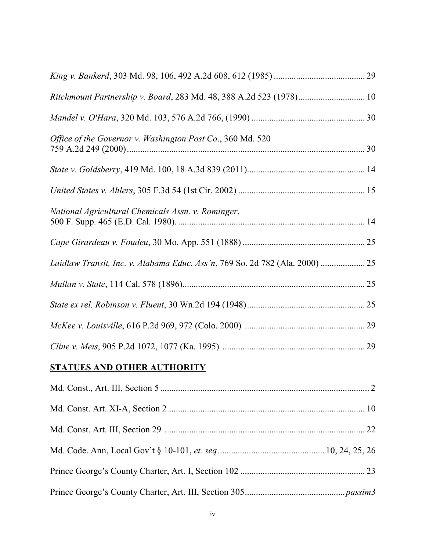| Ritchmount Partnership v. Board, 283 Md. 48, 388 A.2d 523 (1978) 10          |  |
|------------------------------------------------------------------------------|--|
|                                                                              |  |
| Office of the Governor v. Washington Post Co., 360 Md. 520                   |  |
|                                                                              |  |
|                                                                              |  |
| National Agricultural Chemicals Assn. v. Rominger,                           |  |
|                                                                              |  |
| Laidlaw Transit, Inc. v. Alabama Educ. Ass'n, 769 So. 2d 782 (Ala. 2000)  25 |  |
|                                                                              |  |
|                                                                              |  |
|                                                                              |  |
|                                                                              |  |
| <b>STATUES AND OTHER AUTHORITY</b>                                           |  |
|                                                                              |  |
|                                                                              |  |
|                                                                              |  |
|                                                                              |  |
|                                                                              |  |
|                                                                              |  |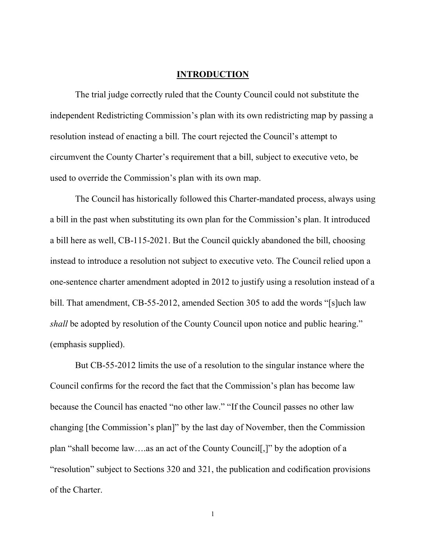#### **INTRODUCTION**

<span id="page-5-0"></span>The trial judge correctly ruled that the County Council could not substitute the independent Redistricting Commission's plan with its own redistricting map by passing a resolution instead of enacting a bill. The court rejected the Council's attempt to circumvent the County Charter's requirement that a bill, subject to executive veto, be used to override the Commission's plan with its own map.

The Council has historically followed this Charter-mandated process, always using a bill in the past when substituting its own plan for the Commission's plan. It introduced a bill here as well, CB-115-2021. But the Council quickly abandoned the bill, choosing instead to introduce a resolution not subject to executive veto. The Council relied upon a one-sentence charter amendment adopted in 2012 to justify using a resolution instead of a bill. That amendment, CB-55-2012, amended Section 305 to add the words "[s]uch law *shall* be adopted by resolution of the County Council upon notice and public hearing." (emphasis supplied).

But CB-55-2012 limits the use of a resolution to the singular instance where the Council confirms for the record the fact that the Commission's plan has become law because the Council has enacted "no other law." "If the Council passes no other law changing [the Commission's plan]" by the last day of November, then the Commission plan "shall become law….as an act of the County Council[,]" by the adoption of a "resolution" subject to Sections 320 and 321, the publication and codification provisions of the Charter.

1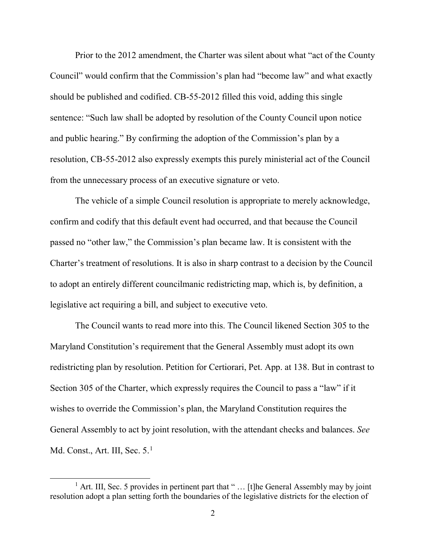Prior to the 2012 amendment, the Charter was silent about what "act of the County Council" would confirm that the Commission's plan had "become law" and what exactly should be published and codified. CB-55-2012 filled this void, adding this single sentence: "Such law shall be adopted by resolution of the County Council upon notice and public hearing." By confirming the adoption of the Commission's plan by a resolution, CB-55-2012 also expressly exempts this purely ministerial act of the Council from the unnecessary process of an executive signature or veto.

The vehicle of a simple Council resolution is appropriate to merely acknowledge, confirm and codify that this default event had occurred, and that because the Council passed no "other law," the Commission's plan became law. It is consistent with the Charter's treatment of resolutions. It is also in sharp contrast to a decision by the Council to adopt an entirely different councilmanic redistricting map, which is, by definition, a legislative act requiring a bill, and subject to executive veto.

The Council wants to read more into this. The Council likened Section 305 to the Maryland Constitution's requirement that the General Assembly must adopt its own redistricting plan by resolution. Petition for Certiorari, Pet. App. at 138. But in contrast to Section 305 of the Charter, which expressly requires the Council to pass a "law" if it wishes to override the Commission's plan, the Maryland Constitution requires the General Assembly to act by joint resolution, with the attendant checks and balances. *See*  Md. Const., Art. III, Sec. 5.<sup>[1](#page-6-0)</sup>

<span id="page-6-0"></span><sup>&</sup>lt;sup>1</sup> Art. III, Sec. 5 provides in pertinent part that " $\ldots$  [t] he General Assembly may by joint resolution adopt a plan setting forth the boundaries of the legislative districts for the election of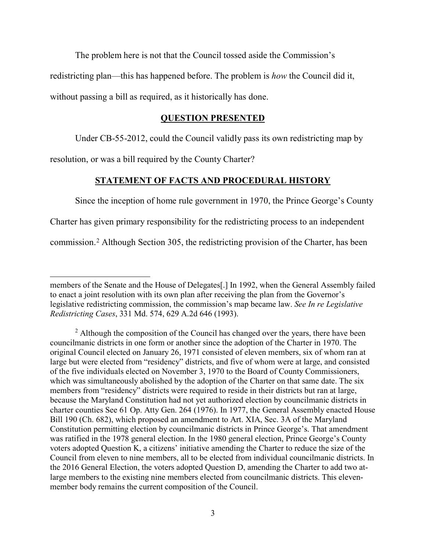The problem here is not that the Council tossed aside the Commission's redistricting plan—this has happened before. The problem is *how* the Council did it,

<span id="page-7-0"></span>without passing a bill as required, as it historically has done.

#### **QUESTION PRESENTED**

Under CB-55-2012, could the Council validly pass its own redistricting map by

<span id="page-7-1"></span>resolution, or was a bill required by the County Charter?

#### **STATEMENT OF FACTS AND PROCEDURAL HISTORY**

Since the inception of home rule government in 1970, the Prince George's County

Charter has given primary responsibility for the redistricting process to an independent

commission.[2](#page-7-2) Although Section 305, the redistricting provision of the Charter, has been

 $\overline{a}$ members of the Senate and the House of Delegates[.] In 1992, when the General Assembly failed to enact a joint resolution with its own plan after receiving the plan from the Governor's legislative redistricting commission, the commission's map became law. *See In re Legislative Redistricting Cases*, 331 Md. 574, 629 A.2d 646 (1993).

<span id="page-7-2"></span> $2$  Although the composition of the Council has changed over the years, there have been councilmanic districts in one form or another since the adoption of the Charter in 1970. The original Council elected on January 26, 1971 consisted of eleven members, six of whom ran at large but were elected from "residency" districts, and five of whom were at large, and consisted of the five individuals elected on November 3, 1970 to the Board of County Commissioners, which was simultaneously abolished by the adoption of the Charter on that same date. The six members from "residency" districts were required to reside in their districts but ran at large, because the Maryland Constitution had not yet authorized election by councilmanic districts in charter counties See 61 Op. Atty Gen. 264 (1976). In 1977, the General Assembly enacted House Bill 190 (Ch. 682), which proposed an amendment to Art. XIA, Sec. 3A of the Maryland Constitution permitting election by councilmanic districts in Prince George's. That amendment was ratified in the 1978 general election. In the 1980 general election, Prince George's County voters adopted Question K, a citizens' initiative amending the Charter to reduce the size of the Council from eleven to nine members, all to be elected from individual councilmanic districts. In the 2016 General Election, the voters adopted Question D, amending the Charter to add two atlarge members to the existing nine members elected from councilmanic districts. This elevenmember body remains the current composition of the Council.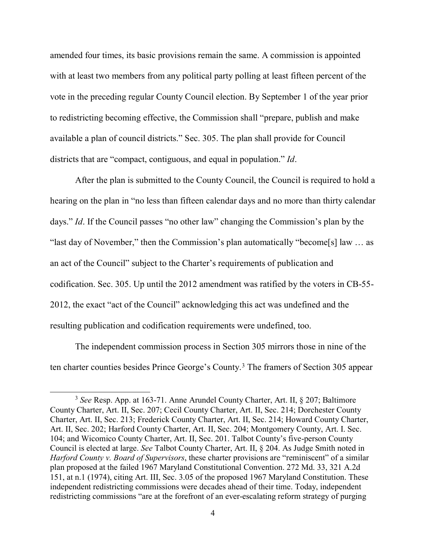amended four times, its basic provisions remain the same. A commission is appointed with at least two members from any political party polling at least fifteen percent of the vote in the preceding regular County Council election. By September 1 of the year prior to redistricting becoming effective, the Commission shall "prepare, publish and make available a plan of council districts." Sec. 305. The plan shall provide for Council districts that are "compact, contiguous, and equal in population." *Id*.

After the plan is submitted to the County Council, the Council is required to hold a hearing on the plan in "no less than fifteen calendar days and no more than thirty calendar days." *Id*. If the Council passes "no other law" changing the Commission's plan by the "last day of November," then the Commission's plan automatically "become[s] law ... as an act of the Council" subject to the Charter's requirements of publication and codification. Sec. 305. Up until the 2012 amendment was ratified by the voters in CB-55- 2012, the exact "act of the Council" acknowledging this act was undefined and the resulting publication and codification requirements were undefined, too.

The independent commission process in Section 305 mirrors those in nine of the ten charter counties besides Prince George's County. [3](#page-8-0) The framers of Section 305 appear

<span id="page-8-0"></span> <sup>3</sup> *See* Resp. App. at 163-71. Anne Arundel County Charter, Art. II, § 207; Baltimore County Charter, Art. II, Sec. 207; Cecil County Charter, Art. II, Sec. 214; Dorchester County Charter, Art. II, Sec. 213; Frederick County Charter, Art. II, Sec. 214; Howard County Charter, Art. II, Sec. 202; Harford County Charter, Art. II, Sec. 204; Montgomery County, Art. I. Sec. 104; and Wicomico County Charter, Art. II, Sec. 201. Talbot County's five-person County Council is elected at large. *See* Talbot County Charter, Art. II, § 204. As Judge Smith noted in *Harford County v. Board of Supervisors*, these charter provisions are "reminiscent" of a similar plan proposed at the failed 1967 Maryland Constitutional Convention. 272 Md. 33, 321 A.2d 151, at n.1 (1974), citing Art. III, Sec. 3.05 of the proposed 1967 Maryland Constitution. These independent redistricting commissions were decades ahead of their time. Today, independent redistricting commissions "are at the forefront of an ever-escalating reform strategy of purging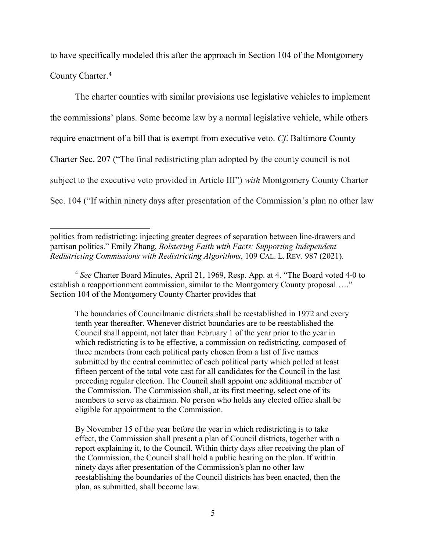to have specifically modeled this after the approach in Section 104 of the Montgomery County Charter.[4](#page-9-0)

The charter counties with similar provisions use legislative vehicles to implement the commissions' plans. Some become law by a normal legislative vehicle, while others require enactment of a bill that is exempt from executive veto. *Cf*. Baltimore County Charter Sec. 207 ("The final redistricting plan adopted by the county council is not subject to the executive veto provided in Article III") *with* Montgomery County Charter Sec. 104 ("If within ninety days after presentation of the Commission's plan no other law

The boundaries of Councilmanic districts shall be reestablished in 1972 and every tenth year thereafter. Whenever district boundaries are to be reestablished the Council shall appoint, not later than February 1 of the year prior to the year in which redistricting is to be effective, a commission on redistricting, composed of three members from each political party chosen from a list of five names submitted by the central committee of each political party which polled at least fifteen percent of the total vote cast for all candidates for the Council in the last preceding regular election. The Council shall appoint one additional member of the Commission. The Commission shall, at its first meeting, select one of its members to serve as chairman. No person who holds any elected office shall be eligible for appointment to the Commission.

By November 15 of the year before the year in which redistricting is to take effect, the Commission shall present a plan of Council districts, together with a report explaining it, to the Council. Within thirty days after receiving the plan of the Commission, the Council shall hold a public hearing on the plan. If within ninety days after presentation of the Commission's plan no other law reestablishing the boundaries of the Council districts has been enacted, then the plan, as submitted, shall become law.

 $\overline{a}$ politics from redistricting: injecting greater degrees of separation between line-drawers and partisan politics." Emily Zhang, *Bolstering Faith with Facts: Supporting Independent Redistricting Commissions with Redistricting Algorithms*, 109 CAL. L. REV. 987 (2021).

<span id="page-9-0"></span><sup>4</sup> *See* Charter Board Minutes, April 21, 1969, Resp. App. at 4. "The Board voted 4-0 to establish a reapportionment commission, similar to the Montgomery County proposal ...." Section 104 of the Montgomery County Charter provides that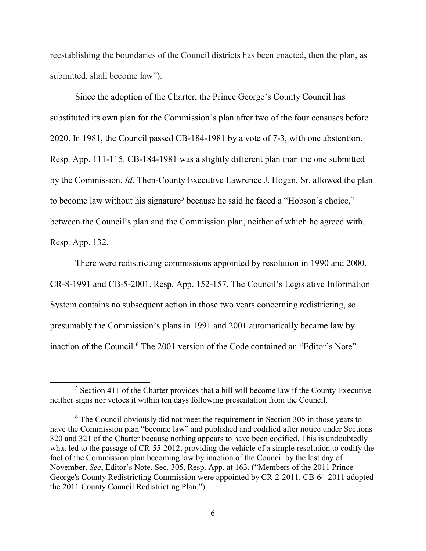reestablishing the boundaries of the Council districts has been enacted, then the plan, as submitted, shall become law").

Since the adoption of the Charter, the Prince George's County Council has substituted its own plan for the Commission's plan after two of the four censuses before 2020. In 1981, the Council passed CB-184-1981 by a vote of 7-3, with one abstention. Resp. App. 111-115. CB-184-1981 was a slightly different plan than the one submitted by the Commission. *Id*. Then-County Executive Lawrence J. Hogan, Sr. allowed the plan to become law without his signature<sup>[5](#page-10-0)</sup> because he said he faced a "Hobson's choice," between the Council's plan and the Commission plan, neither of which he agreed with. Resp. App. 132.

There were redistricting commissions appointed by resolution in 1990 and 2000. CR-8-1991 and CB-5-2001. Resp. App. 152-157. The Council's Legislative Information System contains no subsequent action in those two years concerning redistricting, so presumably the Commission's plans in 1991 and 2001 automatically became law by inaction of the Council.<sup>[6](#page-10-1)</sup> The 2001 version of the Code contained an "Editor's Note"

<span id="page-10-0"></span> <sup>5</sup> Section 411 of the Charter provides that a bill will become law if the County Executive neither signs nor vetoes it within ten days following presentation from the Council.

<span id="page-10-1"></span><sup>&</sup>lt;sup>6</sup> The Council obviously did not meet the requirement in Section 305 in those years to have the Commission plan "become law" and published and codified after notice under Sections 320 and 321 of the Charter because nothing appears to have been codified. This is undoubtedly what led to the passage of CR-55-2012, providing the vehicle of a simple resolution to codify the fact of the Commission plan becoming law by inaction of the Council by the last day of November. *See*, Editor's Note, Sec. 305, Resp. App. at 163. ("Members of the 2011 Prince George's County Redistricting Commission were appointed by CR-2-2011. CB-64-2011 adopted the 2011 County Council Redistricting Plan.").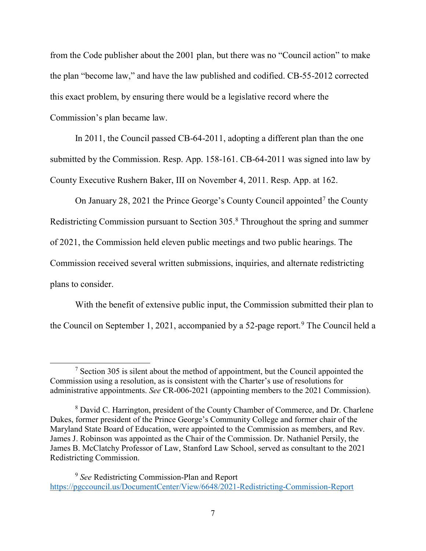from the Code publisher about the 2001 plan, but there was no "Council action" to make the plan "become law," and have the law published and codified. CB-55-2012 corrected this exact problem, by ensuring there would be a legislative record where the Commission's plan became law.

In 2011, the Council passed CB-64-2011, adopting a different plan than the one submitted by the Commission. Resp. App. 158-161. CB-64-2011 was signed into law by County Executive Rushern Baker, III on November 4, 2011. Resp. App. at 162.

On January 28, 2021 the Prince George's County Council appointed<sup>[7](#page-11-0)</sup> the County Redistricting Commission pursuant to Section 305[.8](#page-11-1) Throughout the spring and summer of 2021, the Commission held eleven public meetings and two public hearings. The Commission received several written submissions, inquiries, and alternate redistricting plans to consider.

With the benefit of extensive public input, the Commission submitted their plan to the Council on September 1, 2021, accompanied by a 52-page report.<sup>[9](#page-11-2)</sup> The Council held a

<span id="page-11-0"></span> $<sup>7</sup>$  Section 305 is silent about the method of appointment, but the Council appointed the</sup> Commission using a resolution, as is consistent with the Charter's use of resolutions for administrative appointments. *See* CR-006-2021 (appointing members to the 2021 Commission).

<span id="page-11-1"></span><sup>8</sup> David C. Harrington, president of the County Chamber of Commerce, and Dr. Charlene Dukes, former president of the Prince George's Community College and former chair of the Maryland State Board of Education, were appointed to the Commission as members, and Rev. James J. Robinson was appointed as the Chair of the Commission. Dr. Nathaniel Persily, the James B. McClatchy Professor of Law, Stanford Law School, served as consultant to the 2021 Redistricting Commission.

<span id="page-11-2"></span><sup>9</sup> *See* Redistricting Commission-Plan and Report <https://pgccouncil.us/DocumentCenter/View/6648/2021-Redistricting-Commission-Report>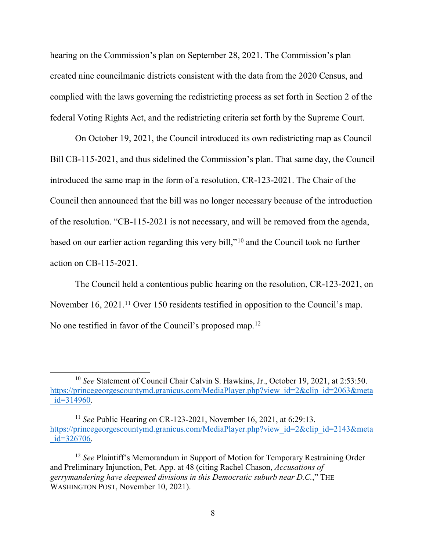hearing on the Commission's plan on September 28, 2021. The Commission's plan created nine councilmanic districts consistent with the data from the 2020 Census, and complied with the laws governing the redistricting process as set forth in Section 2 of the federal Voting Rights Act, and the redistricting criteria set forth by the Supreme Court.

On October 19, 2021, the Council introduced its own redistricting map as Council Bill CB-115-2021, and thus sidelined the Commission's plan. That same day, the Council introduced the same map in the form of a resolution, CR-123-2021. The Chair of the Council then announced that the bill was no longer necessary because of the introduction of the resolution. "CB-115-2021 is not necessary, and will be removed from the agenda, based on our earlier action regarding this very bill,"[10](#page-12-0) and the Council took no further action on CB-115-2021.

The Council held a contentious public hearing on the resolution, CR-123-2021, on November 16, 2021.<sup>11</sup> Over 150 residents testified in opposition to the Council's map. No one testified in favor of the Council's proposed map.<sup>[12](#page-12-2)</sup>

<span id="page-12-0"></span> <sup>10</sup> *See* Statement of Council Chair Calvin S. Hawkins, Jr., October 19, 2021, at 2:53:50. [https://princegeorgescountymd.granicus.com/MediaPlayer.php?view\\_id=2&clip\\_id=2063&meta](https://princegeorgescountymd.granicus.com/MediaPlayer.php?view_id=2&clip_id=2063&meta_id=314960)  $id=314960.$ 

<span id="page-12-1"></span><sup>11</sup> *See* Public Hearing on CR-123-2021, November 16, 2021, at 6:29:13. [https://princegeorgescountymd.granicus.com/MediaPlayer.php?view\\_id=2&clip\\_id=2143&meta](https://princegeorgescountymd.granicus.com/MediaPlayer.php?view_id=2&clip_id=2143&meta_id=326706)  $id = 326706.$ 

<span id="page-12-2"></span><sup>&</sup>lt;sup>12</sup> *See* Plaintiff's Memorandum in Support of Motion for Temporary Restraining Order and Preliminary Injunction, Pet. App. at 48 (citing Rachel Chason, *Accusations of gerrymandering have deepened divisions in this Democratic suburb near D.C.*," THE WASHINGTON POST, November 10, 2021).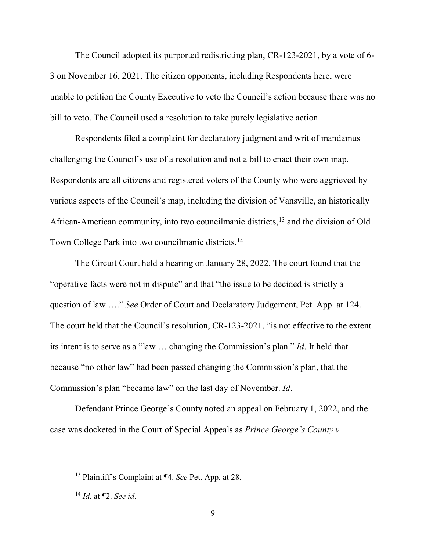The Council adopted its purported redistricting plan, CR-123-2021, by a vote of 6- 3 on November 16, 2021. The citizen opponents, including Respondents here, were unable to petition the County Executive to veto the Council's action because there was no bill to veto. The Council used a resolution to take purely legislative action.

Respondents filed a complaint for declaratory judgment and writ of mandamus challenging the Council's use of a resolution and not a bill to enact their own map. Respondents are all citizens and registered voters of the County who were aggrieved by various aspects of the Council's map, including the division of Vansville, an historically African-American community, into two councilmanic districts,[13](#page-13-0) and the division of Old Town College Park into two councilmanic districts.[14](#page-13-1)

The Circuit Court held a hearing on January 28, 2022. The court found that the "operative facts were not in dispute" and that "the issue to be decided is strictly a question of law …." *See* Order of Court and Declaratory Judgement, Pet. App. at 124. The court held that the Council's resolution, CR-123-2021, "is not effective to the extent its intent is to serve as a "law … changing the Commission's plan." *Id*. It held that because "no other law" had been passed changing the Commission's plan, that the Commission's plan "became law" on the last day of November. *Id*.

Defendant Prince George's County noted an appeal on February 1, 2022, and the case was docketed in the Court of Special Appeals as *Prince George's County v.* 

<span id="page-13-0"></span> <sup>13</sup> Plaintiff's Complaint at ¶4. *See* Pet. App. at 28.

<span id="page-13-1"></span><sup>14</sup> *Id*. at ¶2. *See id*.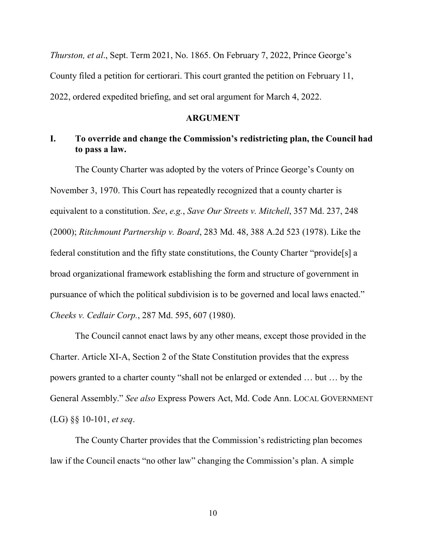*Thurston, et al*., Sept. Term 2021, No. 1865. On February 7, 2022, Prince George's County filed a petition for certiorari. This court granted the petition on February 11, 2022, ordered expedited briefing, and set oral argument for March 4, 2022.

#### **ARGUMENT**

## <span id="page-14-1"></span><span id="page-14-0"></span>**I. To override and change the Commission's redistricting plan, the Council had to pass a law.**

The County Charter was adopted by the voters of Prince George's County on November 3, 1970. This Court has repeatedly recognized that a county charter is equivalent to a constitution. *See*, *e.g.*, *Save Our Streets v. Mitchell*, 357 Md. 237, 248 (2000); *Ritchmount Partnership v. Board*, 283 Md. 48, 388 A.2d 523 (1978). Like the federal constitution and the fifty state constitutions, the County Charter "provide[s] a broad organizational framework establishing the form and structure of government in pursuance of which the political subdivision is to be governed and local laws enacted." *Cheeks v. Cedlair Corp.*, 287 Md. 595, 607 (1980).

The Council cannot enact laws by any other means, except those provided in the Charter. Article XI-A, Section 2 of the State Constitution provides that the express powers granted to a charter county "shall not be enlarged or extended … but … by the General Assembly." *See also* Express Powers Act, Md. Code Ann. LOCAL GOVERNMENT (LG) §§ 10-101, *et seq*.

The County Charter provides that the Commission's redistricting plan becomes law if the Council enacts "no other law" changing the Commission's plan. A simple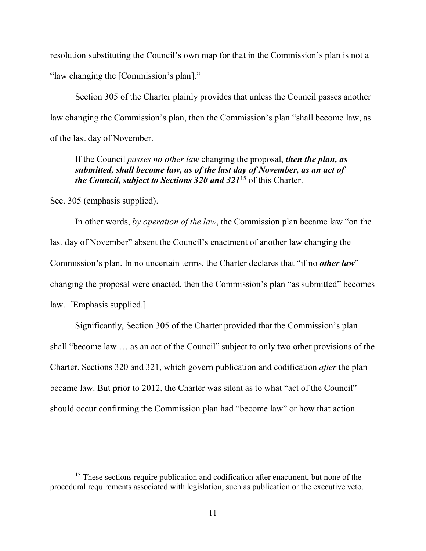resolution substituting the Council's own map for that in the Commission's plan is not a "law changing the [Commission's plan]."

Section 305 of the Charter plainly provides that unless the Council passes another law changing the Commission's plan, then the Commission's plan "shall become law, as of the last day of November.

If the Council *passes no other law* changing the proposal, *then the plan, as submitted, shall become law, as of the last day of November, as an act of the Council, subject to Sections 320 and 321*[15](#page-15-0) of this Charter.

Sec. 305 (emphasis supplied).

In other words, *by operation of the law*, the Commission plan became law "on the last day of November" absent the Council's enactment of another law changing the Commission's plan. In no uncertain terms, the Charter declares that "if no *other law*" changing the proposal were enacted, then the Commission's plan "as submitted" becomes law. [Emphasis supplied.]

Significantly, Section 305 of the Charter provided that the Commission's plan shall "become law … as an act of the Council" subject to only two other provisions of the Charter, Sections 320 and 321, which govern publication and codification *after* the plan became law. But prior to 2012, the Charter was silent as to what "act of the Council" should occur confirming the Commission plan had "become law" or how that action

<span id="page-15-0"></span><sup>&</sup>lt;sup>15</sup> These sections require publication and codification after enactment, but none of the procedural requirements associated with legislation, such as publication or the executive veto.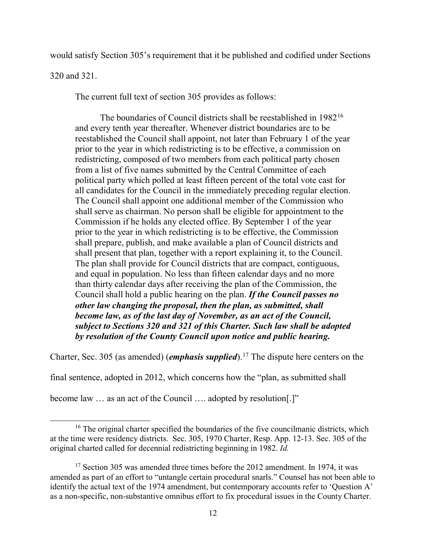would satisfy Section 305's requirement that it be published and codified under Sections

320 and 321.

The current full text of section 305 provides as follows:

The boundaries of Council districts shall be reestablished in 1982[16](#page-16-0) and every tenth year thereafter. Whenever district boundaries are to be reestablished the Council shall appoint, not later than February 1 of the year prior to the year in which redistricting is to be effective, a commission on redistricting, composed of two members from each political party chosen from a list of five names submitted by the Central Committee of each political party which polled at least fifteen percent of the total vote cast for all candidates for the Council in the immediately preceding regular election. The Council shall appoint one additional member of the Commission who shall serve as chairman. No person shall be eligible for appointment to the Commission if he holds any elected office. By September 1 of the year prior to the year in which redistricting is to be effective, the Commission shall prepare, publish, and make available a plan of Council districts and shall present that plan, together with a report explaining it, to the Council. The plan shall provide for Council districts that are compact, contiguous, and equal in population. No less than fifteen calendar days and no more than thirty calendar days after receiving the plan of the Commission, the Council shall hold a public hearing on the plan. *If the Council passes no other law changing the proposal, then the plan, as submitted, shall become law, as of the last day of November, as an act of the Council, subject to Sections 320 and 321 of this Charter. Such law shall be adopted by resolution of the County Council upon notice and public hearing.* 

Charter, Sec. 305 (as amended) (*emphasis supplied*).[17](#page-16-1) The dispute here centers on the

final sentence, adopted in 2012, which concerns how the "plan, as submitted shall

become law ... as an act of the Council .... adopted by resolution.]"

<span id="page-16-0"></span><sup>&</sup>lt;sup>16</sup> The original charter specified the boundaries of the five councilmanic districts, which at the time were residency districts. Sec. 305, 1970 Charter, Resp. App. 12-13. Sec. 305 of the original charted called for decennial redistricting beginning in 1982. *Id.*

<span id="page-16-1"></span> $17$  Section 305 was amended three times before the 2012 amendment. In 1974, it was amended as part of an effort to "untangle certain procedural snarls." Counsel has not been able to identify the actual text of the 1974 amendment, but contemporary accounts refer to 'Question A' as a non-specific, non-substantive omnibus effort to fix procedural issues in the County Charter.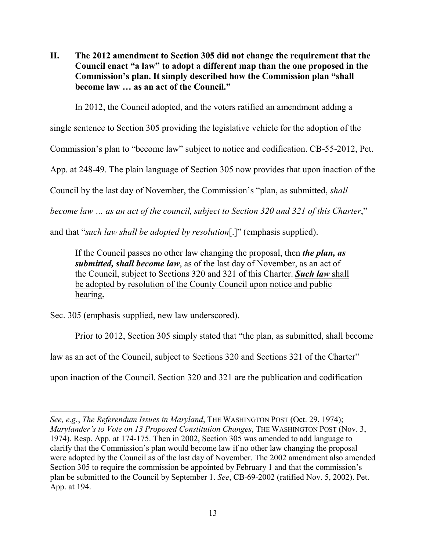<span id="page-17-0"></span>**II. The 2012 amendment to Section 305 did not change the requirement that the Council enact "a law" to adopt a different map than the one proposed in the Commission's plan. It simply described how the Commission plan "shall become law … as an act of the Council."**

In 2012, the Council adopted, and the voters ratified an amendment adding a

single sentence to Section 305 providing the legislative vehicle for the adoption of the

Commission's plan to "become law" subject to notice and codification. CB-55-2012, Pet.

App. at 248-49. The plain language of Section 305 now provides that upon inaction of the

Council by the last day of November, the Commission's "plan, as submitted, *shall* 

*become law … as an act of the council, subject to Section 320 and 321 of this Charter*,"

and that "*such law shall be adopted by resolution*[.]" (emphasis supplied).

If the Council passes no other law changing the proposal, then *the plan, as submitted, shall become law*, as of the last day of November, as an act of the Council, subject to Sections 320 and 321 of this Charter. *Such law* shall be adopted by resolution of the County Council upon notice and public hearing**.**

Sec. 305 (emphasis supplied, new law underscored).

Prior to 2012, Section 305 simply stated that "the plan, as submitted, shall become

law as an act of the Council, subject to Sections 320 and Sections 321 of the Charter"

upon inaction of the Council. Section 320 and 321 are the publication and codification

 $\overline{a}$ *See, e.g.*, *The Referendum Issues in Maryland*, THE WASHINGTON POST (Oct. 29, 1974); *Marylander's to Vote on 13 Proposed Constitution Changes*, THE WASHINGTON POST (Nov. 3, 1974). Resp. App. at 174-175. Then in 2002, Section 305 was amended to add language to clarify that the Commission's plan would become law if no other law changing the proposal were adopted by the Council as of the last day of November. The 2002 amendment also amended Section 305 to require the commission be appointed by February 1 and that the commission's plan be submitted to the Council by September 1. *See*, CB-69-2002 (ratified Nov. 5, 2002). Pet. App. at 194.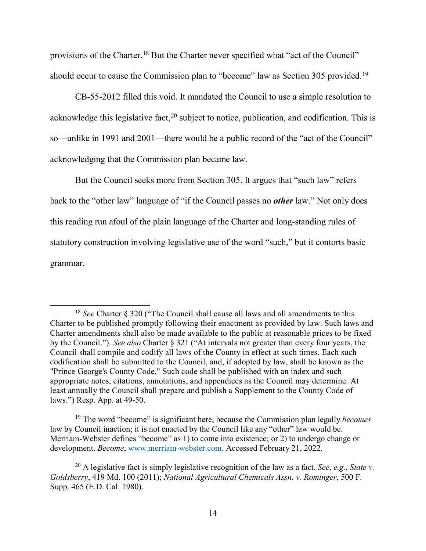provisions of the Charter[.18](#page-18-0) But the Charter never specified what "act of the Council" should occur to cause the Commission plan to "become" law as Section 305 provided.<sup>[19](#page-18-1)</sup>

CB-55-2012 filled this void. It mandated the Council to use a simple resolution to acknowledge this legislative fact,  $20$  subject to notice, publication, and codification. This is so—unlike in 1991 and 2001—there would be a public record of the "act of the Council" acknowledging that the Commission plan became law.

But the Council seeks more from Section 305. It argues that "such law" refers back to the "other law" language of "if the Council passes no *other* law." Not only does this reading run afoul of the plain language of the Charter and long-standing rules of statutory construction involving legislative use of the word "such," but it contorts basic grammar.

<span id="page-18-0"></span> <sup>18</sup> *See* Charter § 320 ("The Council shall cause all laws and all amendments to this Charter to be published promptly following their enactment as provided by law. Such laws and Charter amendments shall also be made available to the public at reasonable prices to be fixed by the Council."). *See also* Charter § 321 ("At intervals not greater than every four years, the Council shall compile and codify all laws of the County in effect at such times. Each such codification shall be submitted to the Council, and, if adopted by law, shall be known as the "Prince George's County Code." Such code shall be published with an index and such appropriate notes, citations, annotations, and appendices as the Council may determine. At least annually the Council shall prepare and publish a Supplement to the County Code of laws.") Resp. App. at 49-50.

<span id="page-18-1"></span><sup>19</sup> The word "become" is significant here, because the Commission plan legally *becomes* law by Council inaction; it is not enacted by the Council like any "other" law would be. Merriam-Webster defines "become" as 1) to come into existence; or 2) to undergo change or development. *Become*, [www.merriam-webster.com.](http://www.merriam-webster.com/) Accessed February 21, 2022.

<span id="page-18-2"></span><sup>20</sup> A legislative fact is simply legislative recognition of the law as a fact. *See*, *e.g.*, *State v. Goldsberry*, 419 Md. 100 (2011); *National Agricultural Chemicals Assn. v. Rominger*, 500 F. Supp. 465 (E.D. Cal. 1980).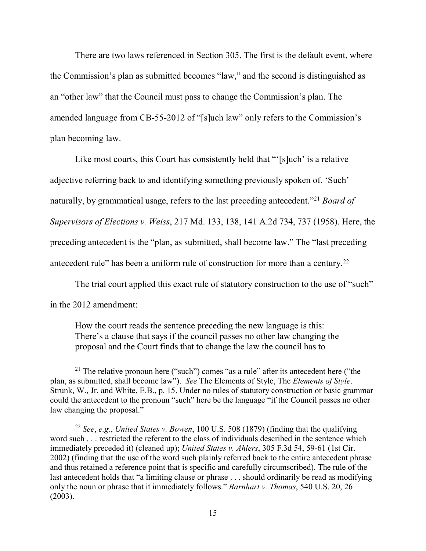There are two laws referenced in Section 305. The first is the default event, where the Commission's plan as submitted becomes "law," and the second is distinguished as an "other law" that the Council must pass to change the Commission's plan. The amended language from CB-55-2012 of "[s]uch law" only refers to the Commission's plan becoming law.

Like most courts, this Court has consistently held that "'[s]uch' is a relative adjective referring back to and identifying something previously spoken of. 'Such' naturally, by grammatical usage, refers to the last preceding antecedent.["21](#page-19-0) *Board of Supervisors of Elections v. Weiss*, 217 Md. 133, 138, 141 A.2d 734, 737 (1958). Here, the preceding antecedent is the "plan, as submitted, shall become law." The "last preceding antecedent rule" has been a uniform rule of construction for more than a century.<sup>[22](#page-19-1)</sup>

The trial court applied this exact rule of statutory construction to the use of "such"

in the 2012 amendment:

How the court reads the sentence preceding the new language is this: There's a clause that says if the council passes no other law changing the proposal and the Court finds that to change the law the council has to

<span id="page-19-0"></span><sup>&</sup>lt;sup>21</sup> The relative pronoun here ("such") comes "as a rule" after its antecedent here ("the plan, as submitted, shall become law"). *See* The Elements of Style, The *Elements of Style*. Strunk, W., Jr. and White, E.B., p. 15. Under no rules of statutory construction or basic grammar could the antecedent to the pronoun "such" here be the language "if the Council passes no other law changing the proposal."

<span id="page-19-1"></span><sup>22</sup> *See*, *e.g.*, *United States v. Bowen*, 100 U.S. 508 (1879) (finding that the qualifying word such . . . restricted the referent to the class of individuals described in the sentence which immediately preceded it) (cleaned up); *United States v. Ahlers*, 305 F.3d 54, 59-61 (1st Cir. 2002) (finding that the use of the word such plainly referred back to the entire antecedent phrase and thus retained a reference point that is specific and carefully circumscribed). The rule of the last antecedent holds that "a limiting clause or phrase . . . should ordinarily be read as modifying only the noun or phrase that it immediately follows." *Barnhart v. Thomas*, 540 U.S. 20, 26 (2003).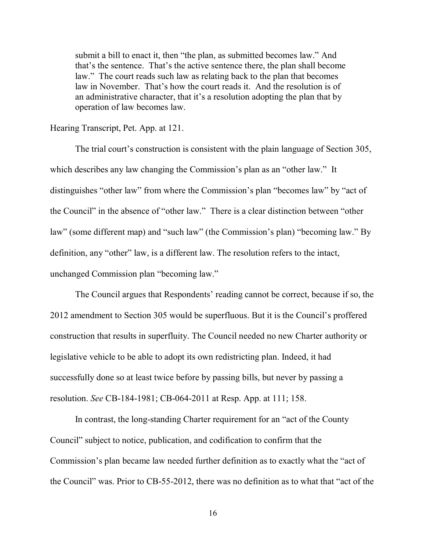submit a bill to enact it, then "the plan, as submitted becomes law." And that's the sentence. That's the active sentence there, the plan shall become law." The court reads such law as relating back to the plan that becomes law in November. That's how the court reads it. And the resolution is of an administrative character, that it's a resolution adopting the plan that by operation of law becomes law.

Hearing Transcript, Pet. App. at 121.

The trial court's construction is consistent with the plain language of Section 305, which describes any law changing the Commission's plan as an "other law." It distinguishes "other law" from where the Commission's plan "becomes law" by "act of the Council" in the absence of "other law." There is a clear distinction between "other law" (some different map) and "such law" (the Commission's plan) "becoming law." By definition, any "other" law, is a different law. The resolution refers to the intact, unchanged Commission plan "becoming law."

The Council argues that Respondents' reading cannot be correct, because if so, the 2012 amendment to Section 305 would be superfluous. But it is the Council's proffered construction that results in superfluity. The Council needed no new Charter authority or legislative vehicle to be able to adopt its own redistricting plan. Indeed, it had successfully done so at least twice before by passing bills, but never by passing a resolution. *See* CB-184-1981; CB-064-2011 at Resp. App. at 111; 158.

In contrast, the long-standing Charter requirement for an "act of the County Council" subject to notice, publication, and codification to confirm that the Commission's plan became law needed further definition as to exactly what the "act of the Council" was. Prior to CB-55-2012, there was no definition as to what that "act of the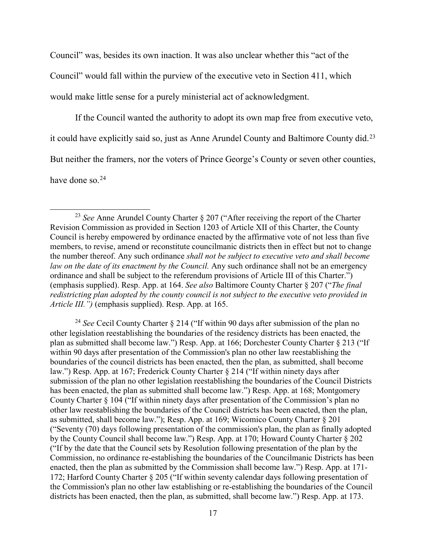Council" was, besides its own inaction. It was also unclear whether this "act of the Council" would fall within the purview of the executive veto in Section 411, which would make little sense for a purely ministerial act of acknowledgment.

If the Council wanted the authority to adopt its own map free from executive veto, it could have explicitly said so, just as Anne Arundel County and Baltimore County did.<sup>[23](#page-21-0)</sup> But neither the framers, nor the voters of Prince George's County or seven other counties,

have done so.<sup>[24](#page-21-1)</sup>

<span id="page-21-1"></span><sup>24</sup> *See* Cecil County Charter § 214 ("If within 90 days after submission of the plan no other legislation reestablishing the boundaries of the residency districts has been enacted, the plan as submitted shall become law.") Resp. App. at 166; Dorchester County Charter § 213 ("If within 90 days after presentation of the Commission's plan no other law reestablishing the boundaries of the council districts has been enacted, then the plan, as submitted, shall become law.") Resp. App. at 167; Frederick County Charter § 214 ("If within ninety days after submission of the plan no other legislation reestablishing the boundaries of the Council Districts has been enacted, the plan as submitted shall become law.") Resp. App. at 168; Montgomery County Charter § 104 ("If within ninety days after presentation of the Commission's plan no other law reestablishing the boundaries of the Council districts has been enacted, then the plan, as submitted, shall become law."); Resp. App. at 169; Wicomico County Charter § 201 ("Seventy (70) days following presentation of the commission's plan, the plan as finally adopted by the County Council shall become law.") Resp. App. at 170; Howard County Charter § 202 ("If by the date that the Council sets by Resolution following presentation of the plan by the Commission, no ordinance re-establishing the boundaries of the Councilmanic Districts has been enacted, then the plan as submitted by the Commission shall become law.") Resp. App. at 171- 172; Harford County Charter § 205 ("If within seventy calendar days following presentation of the Commission's plan no other law establishing or re-establishing the boundaries of the Council districts has been enacted, then the plan, as submitted, shall become law.") Resp. App. at 173.

<span id="page-21-0"></span> <sup>23</sup> *See* Anne Arundel County Charter § 207 ("After receiving the report of the Charter Revision Commission as provided in Section 1203 of Article XII of this Charter, the County Council is hereby empowered by ordinance enacted by the affirmative vote of not less than five members, to revise, amend or reconstitute councilmanic districts then in effect but not to change the number thereof. Any such ordinance *shall not be subject to executive veto and shall become law on the date of its enactment by the Council.* Any such ordinance shall not be an emergency ordinance and shall be subject to the referendum provisions of Article III of this Charter.") (emphasis supplied). Resp. App. at 164. *See also* Baltimore County Charter § 207 ("*The final redistricting plan adopted by the county council is not subject to the executive veto provided in Article III.")* (emphasis supplied). Resp. App. at 165.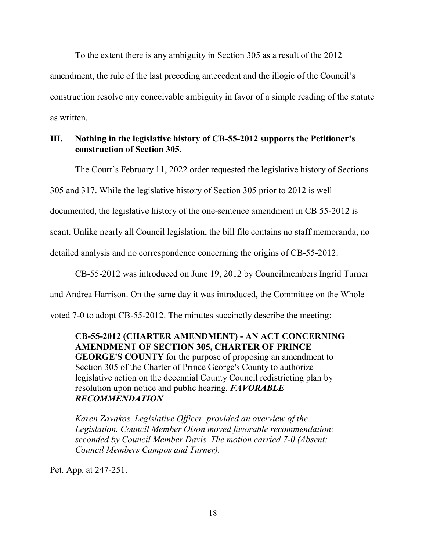To the extent there is any ambiguity in Section 305 as a result of the 2012 amendment, the rule of the last preceding antecedent and the illogic of the Council's construction resolve any conceivable ambiguity in favor of a simple reading of the statute as written.

#### <span id="page-22-0"></span>**III. Nothing in the legislative history of CB-55-2012 supports the Petitioner's construction of Section 305.**

The Court's February 11, 2022 order requested the legislative history of Sections

305 and 317. While the legislative history of Section 305 prior to 2012 is well

documented, the legislative history of the one-sentence amendment in CB 55-2012 is

scant. Unlike nearly all Council legislation, the bill file contains no staff memoranda, no

detailed analysis and no correspondence concerning the origins of CB-55-2012.

CB-55-2012 was introduced on June 19, 2012 by Councilmembers Ingrid Turner

and Andrea Harrison. On the same day it was introduced, the Committee on the Whole

voted 7-0 to adopt CB-55-2012. The minutes succinctly describe the meeting:

**CB-55-2012 (CHARTER AMENDMENT) - AN ACT CONCERNING AMENDMENT OF SECTION 305, CHARTER OF PRINCE GEORGE'S COUNTY** for the purpose of proposing an amendment to Section 305 of the Charter of Prince George's County to authorize legislative action on the decennial County Council redistricting plan by resolution upon notice and public hearing. *FAVORABLE RECOMMENDATION* 

*Karen Zavakos, Legislative Officer, provided an overview of the Legislation. Council Member Olson moved favorable recommendation; seconded by Council Member Davis. The motion carried 7-0 (Absent: Council Members Campos and Turner).* 

Pet. App. at 247-251.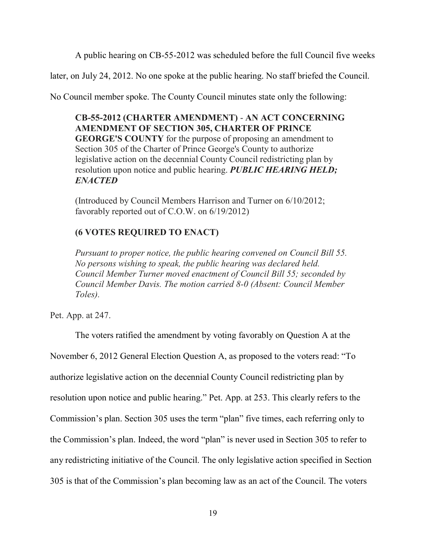A public hearing on CB-55-2012 was scheduled before the full Council five weeks

later, on July 24, 2012. No one spoke at the public hearing. No staff briefed the Council.

No Council member spoke. The County Council minutes state only the following:

**CB-55-2012 (CHARTER AMENDMENT)** - **AN ACT CONCERNING AMENDMENT OF SECTION 305, CHARTER OF PRINCE GEORGE'S COUNTY** for the purpose of proposing an amendment to Section 305 of the Charter of Prince George's County to authorize legislative action on the decennial County Council redistricting plan by resolution upon notice and public hearing. *PUBLIC HEARING HELD; ENACTED*

(Introduced by Council Members Harrison and Turner on 6/10/2012; favorably reported out of C.O.W. on 6/19/2012)

# **(6 VOTES REQUIRED TO ENACT)**

*Pursuant to proper notice, the public hearing convened on Council Bill 55. No persons wishing to speak, the public hearing was declared held. Council Member Turner moved enactment of Council Bill 55; seconded by Council Member Davis. The motion carried 8-0 (Absent: Council Member Toles).*

Pet. App. at 247.

The voters ratified the amendment by voting favorably on Question A at the November 6, 2012 General Election Question A, as proposed to the voters read: "To authorize legislative action on the decennial County Council redistricting plan by resolution upon notice and public hearing." Pet. App. at 253. This clearly refers to the Commission's plan. Section 305 uses the term "plan" five times, each referring only to the Commission's plan. Indeed, the word "plan" is never used in Section 305 to refer to any redistricting initiative of the Council. The only legislative action specified in Section 305 is that of the Commission's plan becoming law as an act of the Council. The voters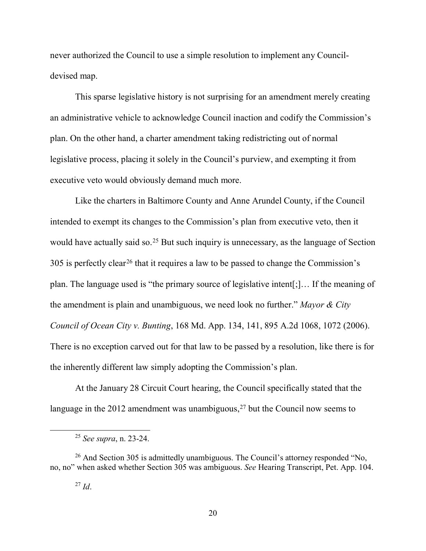never authorized the Council to use a simple resolution to implement any Councildevised map.

This sparse legislative history is not surprising for an amendment merely creating an administrative vehicle to acknowledge Council inaction and codify the Commission's plan. On the other hand, a charter amendment taking redistricting out of normal legislative process, placing it solely in the Council's purview, and exempting it from executive veto would obviously demand much more.

Like the charters in Baltimore County and Anne Arundel County, if the Council intended to exempt its changes to the Commission's plan from executive veto, then it would have actually said so.<sup>[25](#page-24-0)</sup> But such inquiry is unnecessary, as the language of Section 305 is perfectly clear[26](#page-24-1) that it requires a law to be passed to change the Commission's plan. The language used is "the primary source of legislative intent[;]… If the meaning of the amendment is plain and unambiguous, we need look no further." *Mayor & City Council of Ocean City v. Bunting*, 168 Md. App. 134, 141, 895 A.2d 1068, 1072 (2006). There is no exception carved out for that law to be passed by a resolution, like there is for the inherently different law simply adopting the Commission's plan.

At the January 28 Circuit Court hearing, the Council specifically stated that the language in the 2012 amendment was unambiguous,<sup>[27](#page-24-2)</sup> but the Council now seems to

 <sup>25</sup> *See supra*, n. 23-24.

<span id="page-24-2"></span><span id="page-24-1"></span><span id="page-24-0"></span> $26$  And Section 305 is admittedly unambiguous. The Council's attorney responded "No, no, no" when asked whether Section 305 was ambiguous. *See* Hearing Transcript, Pet. App. 104.

 $^{27}$  *Id.*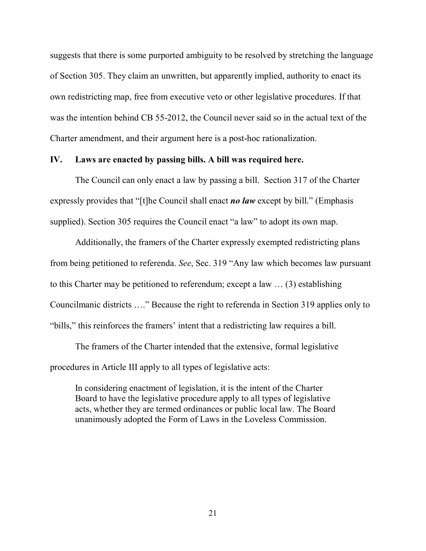suggests that there is some purported ambiguity to be resolved by stretching the language of Section 305. They claim an unwritten, but apparently implied, authority to enact its own redistricting map, free from executive veto or other legislative procedures. If that was the intention behind CB 55-2012, the Council never said so in the actual text of the Charter amendment, and their argument here is a post-hoc rationalization.

#### <span id="page-25-0"></span>**IV. Laws are enacted by passing bills. A bill was required here.**

The Council can only enact a law by passing a bill. Section 317 of the Charter expressly provides that "[t]he Council shall enact *no law* except by bill." (Emphasis supplied). Section 305 requires the Council enact "a law" to adopt its own map.

Additionally, the framers of the Charter expressly exempted redistricting plans from being petitioned to referenda. *See*, Sec. 319 "Any law which becomes law pursuant to this Charter may be petitioned to referendum; except a law … (3) establishing Councilmanic districts …." Because the right to referenda in Section 319 applies only to "bills," this reinforces the framers' intent that a redistricting law requires a bill.

The framers of the Charter intended that the extensive, formal legislative procedures in Article III apply to all types of legislative acts:

In considering enactment of legislation, it is the intent of the Charter Board to have the legislative procedure apply to all types of legislative acts, whether they are termed ordinances or public local law. The Board unanimously adopted the Form of Laws in the Loveless Commission.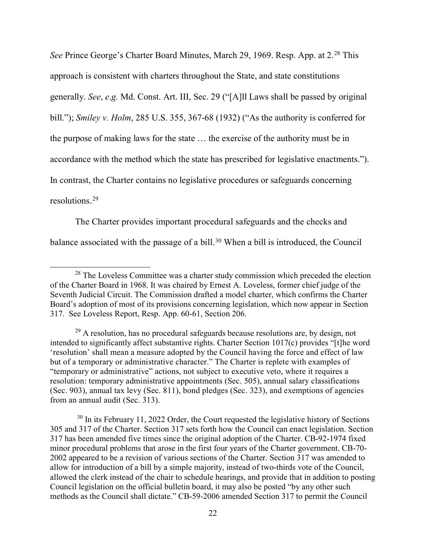See Prince George's Charter Board Minutes, March 29, 1969. Resp. App. at 2.<sup>[28](#page-26-0)</sup> This approach is consistent with charters throughout the State, and state constitutions generally. *See*, *e*.*g.* Md. Const. Art. III, Sec. 29 ("[A]ll Laws shall be passed by original bill."); *Smiley v. Holm*, 285 U.S. 355, 367-68 (1932) ("As the authority is conferred for the purpose of making laws for the state … the exercise of the authority must be in accordance with the method which the state has prescribed for legislative enactments."). In contrast, the Charter contains no legislative procedures or safeguards concerning resolutions.[29](#page-26-1)

The Charter provides important procedural safeguards and the checks and balance associated with the passage of a bill.<sup>[30](#page-26-2)</sup> When a bill is introduced, the Council

<span id="page-26-0"></span><sup>&</sup>lt;sup>28</sup> The Loveless Committee was a charter study commission which preceded the election of the Charter Board in 1968. It was chaired by Ernest A. Loveless, former chief judge of the Seventh Judicial Circuit. The Commission drafted a model charter, which confirms the Charter Board's adoption of most of its provisions concerning legislation, which now appear in Section 317. See Loveless Report, Resp. App. 60-61, Section 206.

<span id="page-26-1"></span> $^{29}$  A resolution, has no procedural safeguards because resolutions are, by design, not intended to significantly affect substantive rights. Charter Section 1017(c) provides "[t]he word 'resolution' shall mean a measure adopted by the Council having the force and effect of law but of a temporary or administrative character." The Charter is replete with examples of "temporary or administrative" actions, not subject to executive veto, where it requires a resolution: temporary administrative appointments (Sec. 505), annual salary classifications (Sec. 903), annual tax levy (Sec. 811), bond pledges (Sec. 323), and exemptions of agencies from an annual audit (Sec. 313).

<span id="page-26-2"></span> $30$  In its February 11, 2022 Order, the Court requested the legislative history of Sections 305 and 317 of the Charter. Section 317 sets forth how the Council can enact legislation. Section 317 has been amended five times since the original adoption of the Charter. CB-92-1974 fixed minor procedural problems that arose in the first four years of the Charter government. CB-70- 2002 appeared to be a revision of various sections of the Charter. Section 317 was amended to allow for introduction of a bill by a simple majority, instead of two-thirds vote of the Council, allowed the clerk instead of the chair to schedule hearings, and provide that in addition to posting Council legislation on the official bulletin board, it may also be posted "by any other such methods as the Council shall dictate." CB-59-2006 amended Section 317 to permit the Council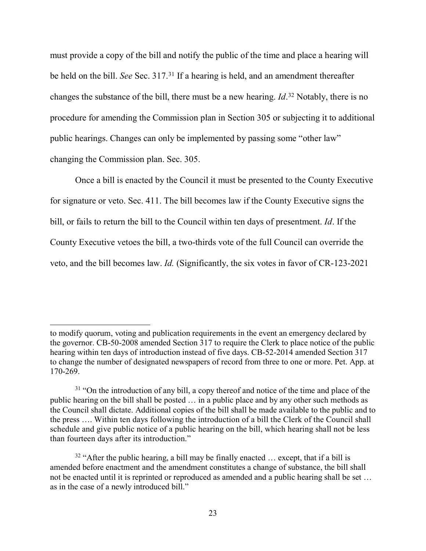must provide a copy of the bill and notify the public of the time and place a hearing will be held on the bill. *See* Sec. 317.[31](#page-27-0) If a hearing is held, and an amendment thereafter changes the substance of the bill, there must be a new hearing. *Id*. [32](#page-27-1) Notably, there is no procedure for amending the Commission plan in Section 305 or subjecting it to additional public hearings. Changes can only be implemented by passing some "other law" changing the Commission plan. Sec. 305.

Once a bill is enacted by the Council it must be presented to the County Executive for signature or veto. Sec. 411. The bill becomes law if the County Executive signs the bill, or fails to return the bill to the Council within ten days of presentment. *Id*. If the County Executive vetoes the bill, a two-thirds vote of the full Council can override the veto, and the bill becomes law. *Id.* (Significantly, the six votes in favor of CR-123-2021

 $\overline{a}$ 

to modify quorum, voting and publication requirements in the event an emergency declared by the governor. CB-50-2008 amended Section 317 to require the Clerk to place notice of the public hearing within ten days of introduction instead of five days. CB-52-2014 amended Section 317 to change the number of designated newspapers of record from three to one or more. Pet. App. at 170-269.

<span id="page-27-0"></span> $31$  "On the introduction of any bill, a copy thereof and notice of the time and place of the public hearing on the bill shall be posted … in a public place and by any other such methods as the Council shall dictate. Additional copies of the bill shall be made available to the public and to the press …. Within ten days following the introduction of a bill the Clerk of the Council shall schedule and give public notice of a public hearing on the bill, which hearing shall not be less than fourteen days after its introduction."

<span id="page-27-1"></span> $32$  "After the public hearing, a bill may be finally enacted  $\ldots$  except, that if a bill is amended before enactment and the amendment constitutes a change of substance, the bill shall not be enacted until it is reprinted or reproduced as amended and a public hearing shall be set … as in the case of a newly introduced bill."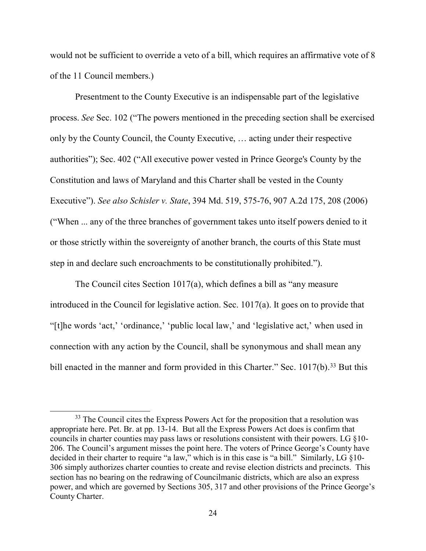would not be sufficient to override a veto of a bill, which requires an affirmative vote of 8 of the 11 Council members.)

Presentment to the County Executive is an indispensable part of the legislative process. *See* Sec. 102 ("The powers mentioned in the preceding section shall be exercised only by the County Council, the County Executive, … acting under their respective authorities"); Sec. 402 ("All executive power vested in Prince George's County by the Constitution and laws of Maryland and this Charter shall be vested in the County Executive"). *See also Schisler v. State*, 394 Md. 519, 575-76, 907 A.2d 175, 208 (2006) ("When ... any of the three branches of government takes unto itself powers denied to it or those strictly within the sovereignty of another branch, the courts of this State must step in and declare such encroachments to be constitutionally prohibited.").

The Council cites Section 1017(a), which defines a bill as "any measure introduced in the Council for legislative action. Sec. 1017(a). It goes on to provide that "[t]he words 'act,' 'ordinance,' 'public local law,' and 'legislative act,' when used in connection with any action by the Council, shall be synonymous and shall mean any bill enacted in the manner and form provided in this Charter." Sec.  $1017(b)$ .<sup>[33](#page-28-0)</sup> But this

<span id="page-28-0"></span><sup>&</sup>lt;sup>33</sup> The Council cites the Express Powers Act for the proposition that a resolution was appropriate here. Pet. Br. at pp. 13-14. But all the Express Powers Act does is confirm that councils in charter counties may pass laws or resolutions consistent with their powers. LG §10- 206. The Council's argument misses the point here. The voters of Prince George's County have decided in their charter to require "a law," which is in this case is "a bill." Similarly, LG §10- 306 simply authorizes charter counties to create and revise election districts and precincts. This section has no bearing on the redrawing of Councilmanic districts, which are also an express power, and which are governed by Sections 305, 317 and other provisions of the Prince George's County Charter.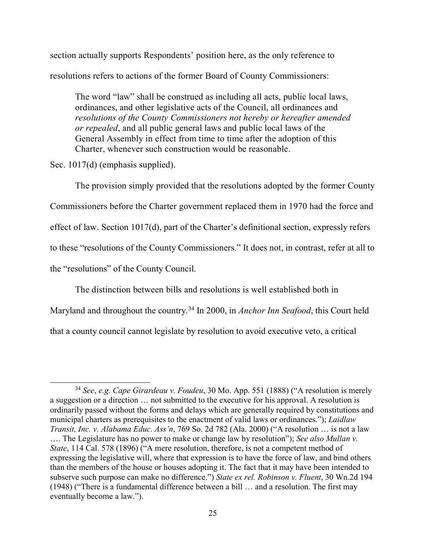section actually supports Respondents' position here, as the only reference to resolutions refers to actions of the former Board of County Commissioners:

The word "law" shall be construed as including all acts, public local laws, ordinances, and other legislative acts of the Council, all ordinances and *resolutions of the County Commissioners not hereby or hereafter amended or repealed*, and all public general laws and public local laws of the General Assembly in effect from time to time after the adoption of this Charter, whenever such construction would be reasonable.

Sec. 1017(d) (emphasis supplied).

The provision simply provided that the resolutions adopted by the former County Commissioners before the Charter government replaced them in 1970 had the force and effect of law. Section 1017(d), part of the Charter's definitional section, expressly refers to these "resolutions of the County Commissioners." It does not, in contrast, refer at all to the "resolutions" of the County Council.

The distinction between bills and resolutions is well established both in

Maryland and throughout the country.[34](#page-29-0) In 2000, in *Anchor Inn Seafood*, this Court held

that a county council cannot legislate by resolution to avoid executive veto, a critical

<span id="page-29-0"></span> <sup>34</sup> *See*, *e.g. Cape Girardeau v. Foudeu*, 30 Mo. App. 551 (1888) ("A resolution is merely a suggestion or a direction … not submitted to the executive for his approval. A resolution is ordinarily passed without the forms and delays which are generally required by constitutions and municipal charters as prerequisites to the enactment of valid laws or ordinances."); *Laidlaw Transit, Inc. v. Alabama Educ. Ass'n*, 769 So. 2d 782 (Ala. 2000) ("A resolution … is not a law …. The Legislature has no power to make or change law by resolution"); *See also Mullan v. State*, 114 Cal. 578 (1896) ("A mere resolution, therefore, is not a competent method of expressing the legislative will, where that expression is to have the force of law, and bind others than the members of the house or houses adopting it. The fact that it may have been intended to subserve such purpose can make no difference.") *State ex rel. Robinson v. Fluent*, 30 Wn.2d 194 (1948) ("There is a fundamental difference between a bill … and a resolution. The first may eventually become a law.").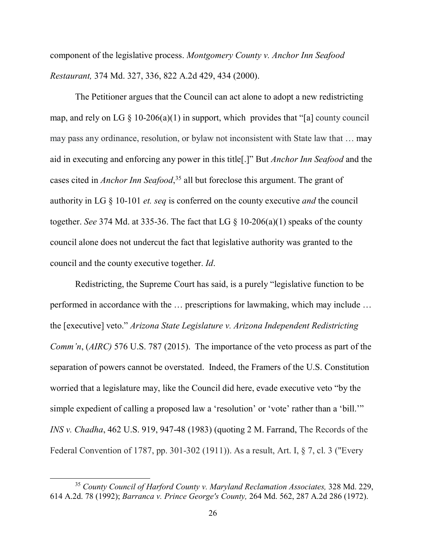component of the legislative process. *Montgomery County v. Anchor Inn Seafood Restaurant,* 374 Md. 327, 336, 822 A.2d 429, 434 (2000).

The Petitioner argues that the Council can act alone to adopt a new redistricting map, and rely on LG  $\S$  10-206(a)(1) in support, which provides that "[a] county council may pass any ordinance, resolution, or bylaw not inconsistent with State law that … may aid in executing and enforcing any power in this title[.]" But *Anchor Inn Seafood* and the cases cited in *Anchor Inn Seafood*, [35](#page-30-0) all but foreclose this argument. The grant of authority in LG § 10-101 *et. seq* is conferred on the county executive *and* the council together. *See* 374 Md. at 335-36. The fact that LG § 10-206(a)(1) speaks of the county council alone does not undercut the fact that legislative authority was granted to the council and the county executive together. *Id*.

Redistricting, the Supreme Court has said, is a purely "legislative function to be performed in accordance with the … prescriptions for lawmaking, which may include … the [executive] veto." *Arizona State Legislature v. Arizona Independent Redistricting Comm'n*, (*AIRC)* 576 U.S. 787 (2015). The importance of the veto process as part of the separation of powers cannot be overstated. Indeed, the Framers of the U.S. Constitution worried that a legislature may, like the Council did here, evade executive veto "by the simple expedient of calling a proposed law a 'resolution' or 'vote' rather than a 'bill.'" *INS v. Chadha*, 462 U.S. 919, 947-48 (1983) (quoting 2 M. Farrand, The Records of the Federal Convention of 1787, pp. 301-302 (1911)). As a result, Art. I, § 7, cl. 3 ("Every

<span id="page-30-0"></span> <sup>35</sup> *County Council of Harford County v. Maryland [Reclamation](https://advance.lexis.com/search/?pdmfid=1000516&crid=1ff77dbb-c0de-4535-a054-b745572b8fab&pdsearchterms=374+md+327&pdtypeofsearch=searchboxclick&pdsearchtype=SearchBox&pdstartin=&pdpsf=&pdqttype=and&pdquerytemplateid=&ecomp=5br5kkk&earg=pdsf&prid=9fa19daf-66ef-4139-bd97-a30afea2a152&srid=f1c4872f-3ac9-4040-a523-64406c1c936b) Associates,* <sup>328</sup> Md. 229, 614 A.2d. 78 [\(1992\);](https://advance.lexis.com/search/?pdmfid=1000516&crid=1ff77dbb-c0de-4535-a054-b745572b8fab&pdsearchterms=374+md+327&pdtypeofsearch=searchboxclick&pdsearchtype=SearchBox&pdstartin=&pdpsf=&pdqttype=and&pdquerytemplateid=&ecomp=5br5kkk&earg=pdsf&prid=9fa19daf-66ef-4139-bd97-a30afea2a152&srid=f1c4872f-3ac9-4040-a523-64406c1c936b) *[Barranca](https://advance.lexis.com/search/?pdmfid=1000516&crid=1ff77dbb-c0de-4535-a054-b745572b8fab&pdsearchterms=374+md+327&pdtypeofsearch=searchboxclick&pdsearchtype=SearchBox&pdstartin=&pdpsf=&pdqttype=and&pdquerytemplateid=&ecomp=5br5kkk&earg=pdsf&prid=9fa19daf-66ef-4139-bd97-a30afea2a152&srid=f1c4872f-3ac9-4040-a523-64406c1c936b) v. Prince George's County,* 264 Md. 562, 287 A.2d 286 (1972).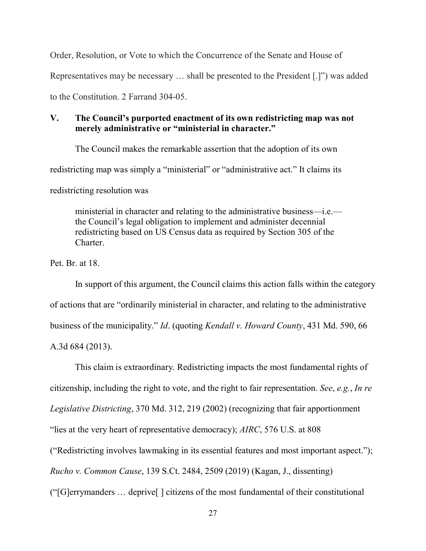Order, Resolution, or Vote to which the Concurrence of the Senate and House of Representatives may be necessary … shall be presented to the President [.]") was added to the Constitution. 2 Farrand 304-05.

## <span id="page-31-0"></span>**V. The Council's purported enactment of its own redistricting map was not merely administrative or "ministerial in character."**

The Council makes the remarkable assertion that the adoption of its own

redistricting map was simply a "ministerial" or "administrative act." It claims its

redistricting resolution was

ministerial in character and relating to the administrative business—i.e. the Council's legal obligation to implement and administer decennial redistricting based on US Census data as required by Section 305 of the Charter.

Pet. Br. at 18.

In support of this argument, the Council claims this action falls within the category of actions that are "ordinarily ministerial in character, and relating to the administrative business of the municipality." *Id*. (quoting *Kendall v. Howard County*, 431 Md. 590, 66 A.3d 684 (2013).

This claim is extraordinary. Redistricting impacts the most fundamental rights of citizenship, including the right to vote, and the right to fair representation. *See*, *e.g.*, *In re Legislative Districting*, 370 Md. 312, 219 (2002) (recognizing that fair apportionment "lies at the very heart of representative democracy); *AIRC*, 576 U.S. at 808 ("Redistricting involves lawmaking in its essential features and most important aspect."); *Rucho v. Common Cause*, 139 S.Ct. 2484, 2509 (2019) (Kagan, J., dissenting) ("[G]errymanders … deprive[ ] citizens of the most fundamental of their constitutional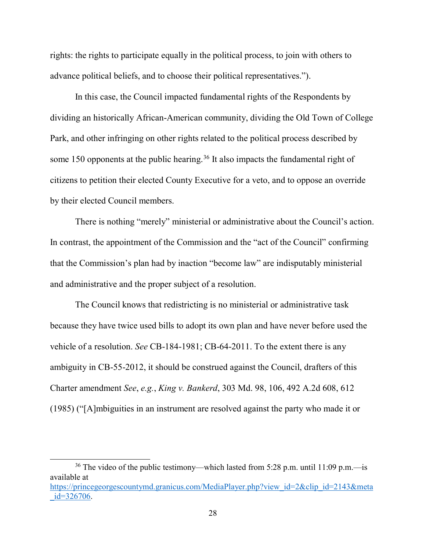rights: the rights to participate equally in the political process, to join with others to advance political beliefs, and to choose their political representatives.").

In this case, the Council impacted fundamental rights of the Respondents by dividing an historically African-American community, dividing the Old Town of College Park, and other infringing on other rights related to the political process described by some 150 opponents at the public hearing.<sup>[36](#page-32-0)</sup> It also impacts the fundamental right of citizens to petition their elected County Executive for a veto, and to oppose an override by their elected Council members.

There is nothing "merely" ministerial or administrative about the Council's action. In contrast, the appointment of the Commission and the "act of the Council" confirming that the Commission's plan had by inaction "become law" are indisputably ministerial and administrative and the proper subject of a resolution.

The Council knows that redistricting is no ministerial or administrative task because they have twice used bills to adopt its own plan and have never before used the vehicle of a resolution. *See* CB-184-1981; CB-64-2011. To the extent there is any ambiguity in CB-55-2012, it should be construed against the Council, drafters of this Charter amendment *See*, *e.g.*, *King v. Bankerd*, 303 Md. 98, 106, 492 A.2d 608, 612 (1985) ("[A]mbiguities in an instrument are resolved against the party who made it or

<span id="page-32-0"></span><sup>36</sup> The video of the public testimony—which lasted from 5:28 p.m. until 11:09 p.m.—is available at [https://princegeorgescountymd.granicus.com/MediaPlayer.php?view\\_id=2&clip\\_id=2143&meta](https://princegeorgescountymd.granicus.com/MediaPlayer.php?view_id=2&clip_id=2143&meta_id=326706)  $id = 326706.$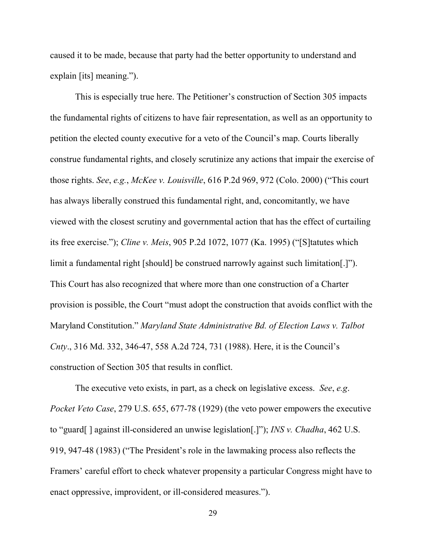caused it to be made, because that party had the better opportunity to understand and explain [its] meaning.").

This is especially true here. The Petitioner's construction of Section 305 impacts the fundamental rights of citizens to have fair representation, as well as an opportunity to petition the elected county executive for a veto of the Council's map. Courts liberally construe fundamental rights, and closely scrutinize any actions that impair the exercise of those rights. *See*, *e.g.*, *McKee v. Louisville*, 616 P.2d 969, 972 (Colo. 2000) ("This court has always liberally construed this fundamental right, and, concomitantly, we have viewed with the closest scrutiny and governmental action that has the effect of curtailing its free exercise."); *Cline v. Meis*, 905 P.2d 1072, 1077 (Ka. 1995) ("[S]tatutes which limit a fundamental right [should] be construed narrowly against such limitation[.]"). This Court has also recognized that where more than one construction of a Charter provision is possible, the Court "must adopt the construction that avoids conflict with the Maryland Constitution." *Maryland State Administrative Bd. of Election Laws v. Talbot Cnty*., 316 Md. 332, 346-47, 558 A.2d 724, 731 (1988). Here, it is the Council's construction of Section 305 that results in conflict.

The executive veto exists, in part, as a check on legislative excess. *See*, *e.g*. *Pocket Veto Case*, 279 U.S. 655, 677-78 (1929) (the veto power empowers the executive to "guard[ ] against ill-considered an unwise legislation[.]"); *INS v. Chadha*, 462 U.S. 919, 947-48 (1983) ("The President's role in the lawmaking process also reflects the Framers' careful effort to check whatever propensity a particular Congress might have to enact oppressive, improvident, or ill-considered measures.").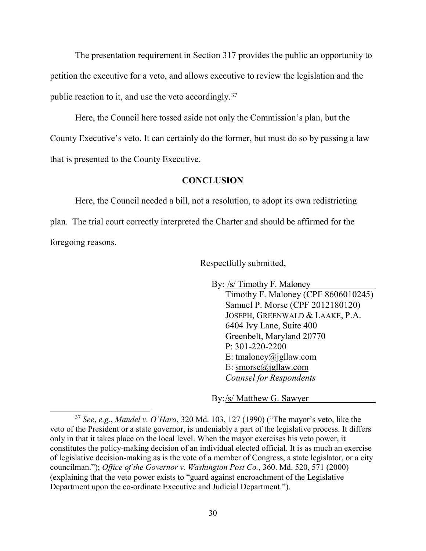The presentation requirement in Section 317 provides the public an opportunity to petition the executive for a veto, and allows executive to review the legislation and the public reaction to it, and use the veto accordingly.[37](#page-34-1)

Here, the Council here tossed aside not only the Commission's plan, but the County Executive's veto. It can certainly do the former, but must do so by passing a law that is presented to the County Executive.

#### **CONCLUSION**

<span id="page-34-0"></span>Here, the Council needed a bill, not a resolution, to adopt its own redistricting plan. The trial court correctly interpreted the Charter and should be affirmed for the foregoing reasons.

Respectfully submitted,

By: /s/ Timothy F. Maloney

Timothy F. Maloney (CPF 8606010245) Samuel P. Morse (CPF 2012180120) JOSEPH, GREENWALD & LAAKE, P.A. 6404 Ivy Lane, Suite 400 Greenbelt, Maryland 20770 P: 301-220-2200 E: [tmaloney@jgllaw.com](mailto:tmaloney@jgllaw.com) E: [smorse@jgllaw.com](mailto:smorse@jgllaw.com) *Counsel for Respondents*

By:/s/ Matthew G. Sawyer

<span id="page-34-1"></span> <sup>37</sup> *See*, *e.g.*, *Mandel v. O'Hara*, 320 Md. 103, 127 (1990) ("The mayor's veto, like the veto of the President or a state governor, is undeniably a part of the legislative process. It differs only in that it takes place on the local level. When the mayor exercises his veto power, it constitutes the policy-making decision of an individual elected official. It is as much an exercise of legislative decision-making as is the vote of a member of Congress, a state legislator, or a city councilman."); *Office of the Governor v. Washington Post Co.*, 360. Md. 520, 571 (2000) (explaining that the veto power exists to "guard against encroachment of the Legislative Department upon the co-ordinate Executive and Judicial Department.").